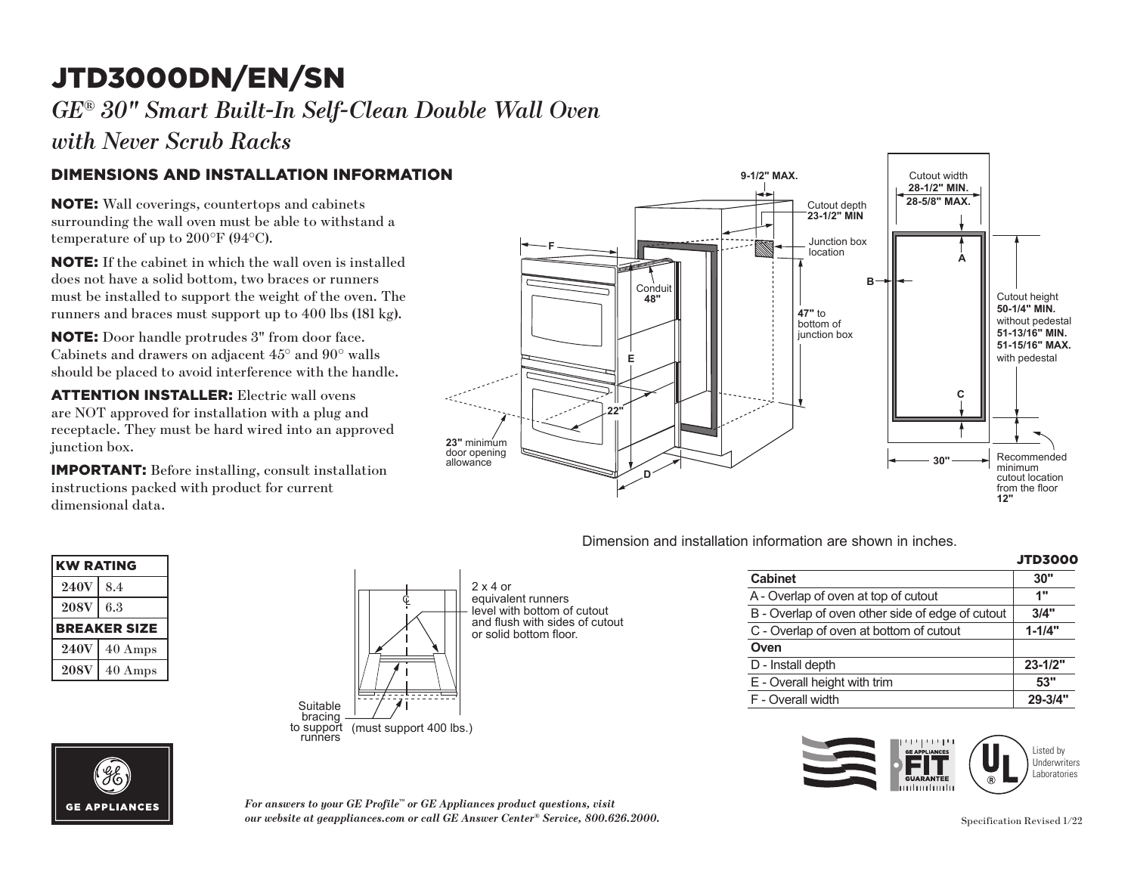# JTD3000DN/EN/SN **F**

*GE® 30" Smart Built-In Self-Clean Double Wall Oven* 

*with Never Scrub Racks*

### DIMENSIONS AND INSTALLATION INFORMATION **48"**

NOTE: Wall coverings, countertops and cabinets surrounding the wall oven must be able to withstand a temperature of up to 200°F (94°C).

**NOTE:** If the cabinet in which the wall oven is installed does not have a solid bottom, two braces or runners must be installed to support the weight of the oven. The runners and braces must support up to 400 lbs (181 kg).

**NOTE:** Door handle protrudes 3" from door face. Cabinets and drawers on adjacent 45° and 90° walls should be placed to avoid interference with the handle.

**23"** minimum **ATTENTION INSTALLER:** Electric wall ovens are NOT approved for installation with a plug and **D** receptacle. They must be hard wired into an approved junction box.

 $\frac{1}{2}$  instructions packed with product for current IMPORTANT: Before installing, consult installation dimensional data.



#### KW RATING  $240V$  8.4  $208V$  6.3 BREAKER SIZE  $240V$  40 Amps **208V** 40 Amps **208V**  $\frac{1}{\sqrt{1-\frac{1}{\sqrt{1-\frac{1}{\sqrt{1-\frac{1}{\sqrt{1-\frac{1}{\sqrt{1-\frac{1}{\sqrt{1-\frac{1}{\sqrt{1-\frac{1}{\sqrt{1-\frac{1}{\sqrt{1-\frac{1}{\sqrt{1-\frac{1}{\sqrt{1-\frac{1}{\sqrt{1-\frac{1}{\sqrt{1-\frac{1}{\sqrt{1-\frac{1}{\sqrt{1-\frac{1}{\sqrt{1-\frac{1}{\sqrt{1-\frac{1}{\sqrt{1-\frac{1}{\sqrt{1-\frac{1}{\sqrt{1-\frac{1}{\sqrt{1-\frac{1}{\sqrt{1-\frac{1}{\sqrt{1-\frac{1}{\sqrt{1-\frac{1$



2 x 4 or equivalent runners level with bottom of cutout and flush with sides of cutout

#### Dimension and installation information are shown in inches. Dimension and installation information are shown in inches. **JTD5000DNWW, JTD5000ENES, JTD5000FNDS,**

|                                                  | <b>JTD3000</b> |
|--------------------------------------------------|----------------|
| <b>Cabinet</b>                                   | 30"            |
| A - Overlap of oven at top of cutout             | 1"             |
| B - Overlap of oven other side of edge of cutout | 3/4"           |
| C - Overlap of oven at bottom of cutout          | $1 - 1/4"$     |
| Oven                                             |                |
| D - Install depth                                | $23 - 1/2"$    |
| E - Overall height with trim                     | 53"            |
| F - Overall width                                | $29 - 3/4"$    |
|                                                  |                |

**50-1/4" MIN.**



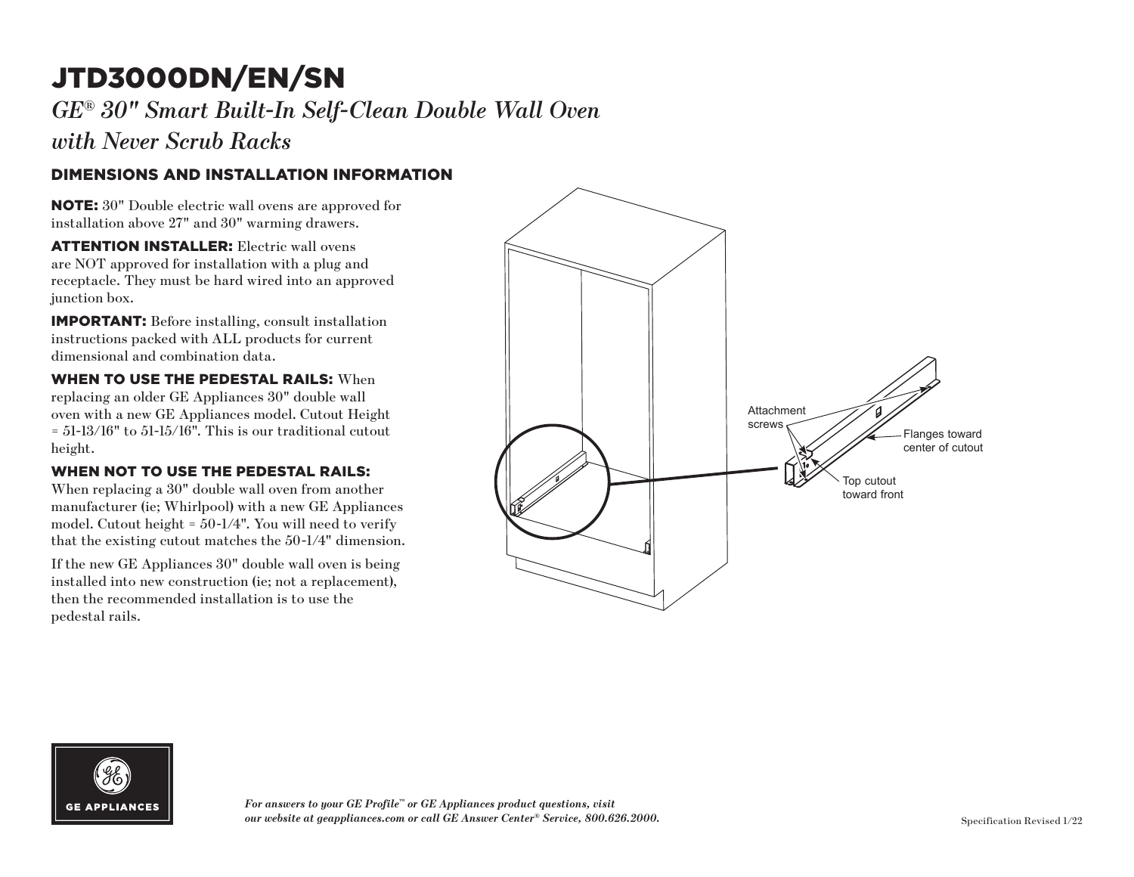# JTD3000DN/EN/SN

*GE ® 30" Smart Built-In Self-Clean Double Wall Oven* 

*with Never Scrub Racks*

### DIMENSIONS AND INSTALLATION INFORMATION

NOTE: 30" Double electric wall ovens are approved for installation above 27" and 30" warming drawers.

ATTENTION INSTALLER: Electric wall ovens are NOT approved for installation with a plug and receptacle. They must be hard wired into an approved junction box.

IMPORTANT: Before installing, consult installation instructions packed with ALL products for current dimensional and combination data.

WHEN TO USE THE PEDESTAL RAILS: When replacing an older GE Appliances 30" double wall oven with a new GE Appliances model. Cutout Height  $= 51-13/16"$  to  $51-15/16"$ . This is our traditional cutout height.

#### WHEN NOT TO USE THE PEDESTAL RAILS:

When replacing a 30" double wall oven from another manufacturer (ie; Whirlpool) with a new GE Appliances model. Cutout height = 50-1/4". You will need to verify that the existing cutout matches the 50-1/4" dimension.

If the new GE Appliances 30" double wall oven is being installed into new construction (ie; not a replacement), then the recommended installation is to use the pedestal rails.